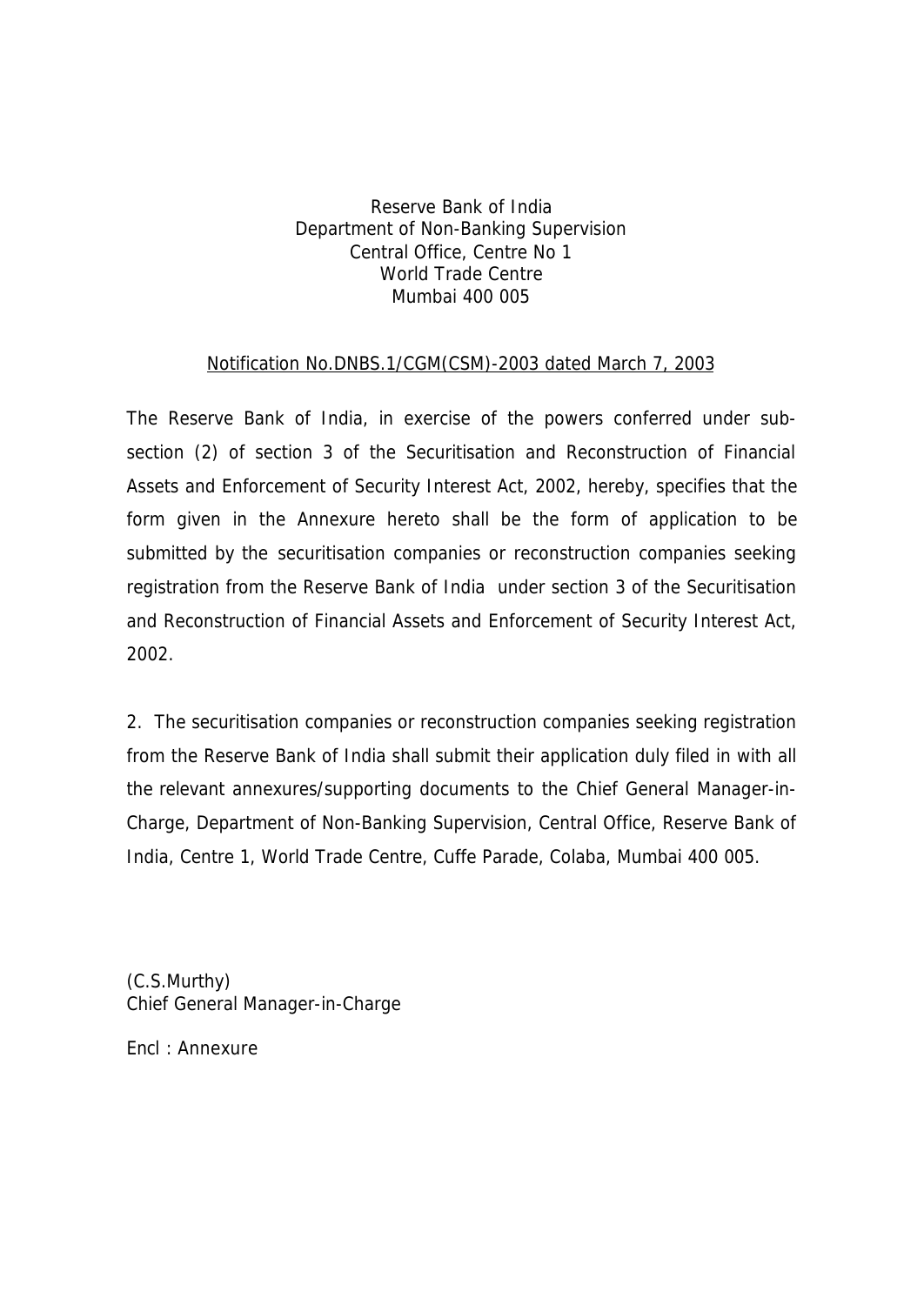## Reserve Bank of India Department of Non-Banking Supervision Central Office, Centre No 1 World Trade Centre Mumbai 400 005

## Notification No.DNBS.1/CGM(CSM)-2003 dated March 7, 2003

The Reserve Bank of India, in exercise of the powers conferred under subsection (2) of section 3 of the Securitisation and Reconstruction of Financial Assets and Enforcement of Security Interest Act, 2002, hereby, specifies that the form given in the Annexure hereto shall be the form of application to be submitted by the securitisation companies or reconstruction companies seeking registration from the Reserve Bank of India under section 3 of the Securitisation and Reconstruction of Financial Assets and Enforcement of Security Interest Act, 2002.

2. The securitisation companies or reconstruction companies seeking registration from the Reserve Bank of India shall submit their application duly filed in with all the relevant annexures/supporting documents to the Chief General Manager-in-Charge, Department of Non-Banking Supervision, Central Office, Reserve Bank of India, Centre 1, World Trade Centre, Cuffe Parade, Colaba, Mumbai 400 005.

(C.S.Murthy) Chief General Manager-in-Charge

Encl : Annexure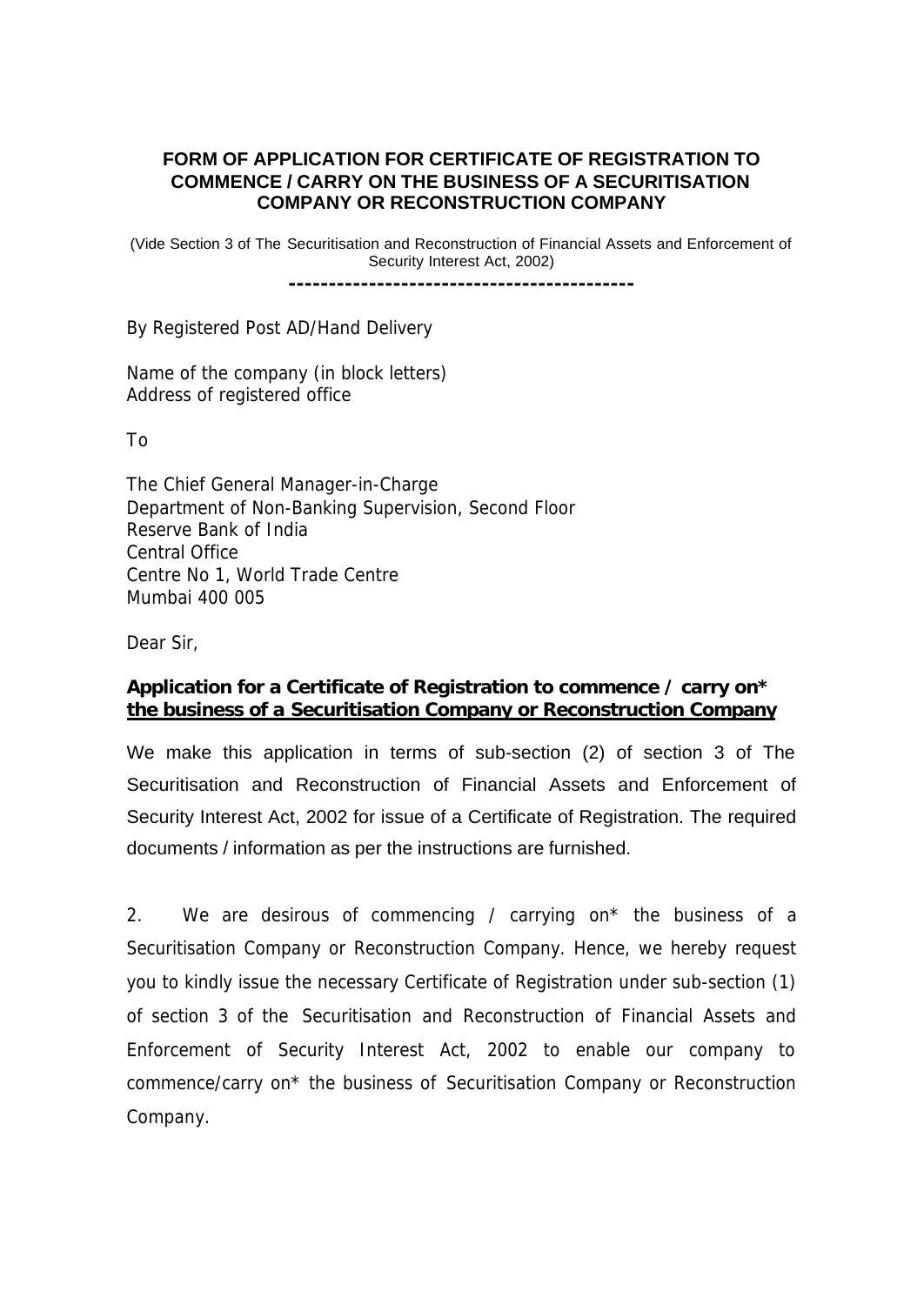#### **FORM OF APPLICATION FOR CERTIFICATE OF REGISTRATION TO COMMENCE / CARRY ON THE BUSINESS OF A SECURITISATION COMPANY OR RECONSTRUCTION COMPANY**

(Vide Section 3 of The Securitisation and Reconstruction of Financial Assets and Enforcement of Security Interest Act, 2002)

**-------------------------------------------**

By Registered Post AD/Hand Delivery

Name of the company (in block letters) Address of registered office

To

The Chief General Manager-in-Charge Department of Non-Banking Supervision, Second Floor Reserve Bank of India Central Office Centre No 1, World Trade Centre Mumbai 400 005

Dear Sir,

## **Application for a Certificate of Registration to commence / carry on\* the business of a Securitisation Company or Reconstruction Company**

We make this application in terms of sub-section (2) of section 3 of The Securitisation and Reconstruction of Financial Assets and Enforcement of Security Interest Act, 2002 for issue of a Certificate of Registration. The required documents / information as per the instructions are furnished.

2. We are desirous of commencing / carrying on\* the business of a Securitisation Company or Reconstruction Company. Hence, we hereby request you to kindly issue the necessary Certificate of Registration under sub-section (1) of section 3 of the Securitisation and Reconstruction of Financial Assets and Enforcement of Security Interest Act, 2002 to enable our company to commence/carry on\* the business of Securitisation Company or Reconstruction Company.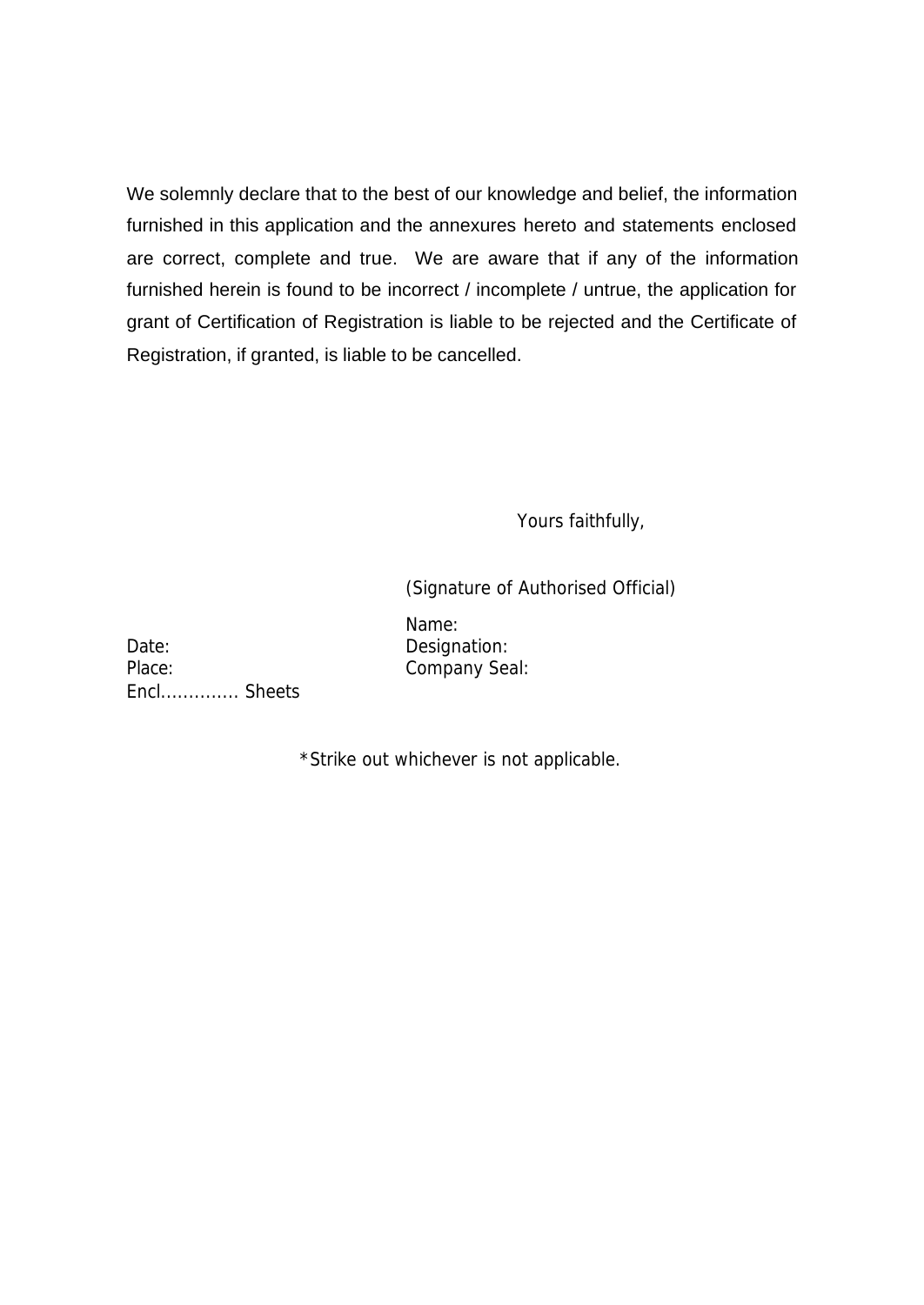We solemnly declare that to the best of our knowledge and belief, the information furnished in this application and the annexures hereto and statements enclosed are correct, complete and true. We are aware that if any of the information furnished herein is found to be incorrect / incomplete / untrue, the application for grant of Certification of Registration is liable to be rejected and the Certificate of Registration, if granted, is liable to be cancelled.

Yours faithfully,

(Signature of Authorised Official)

Name:

Date: Designation: Place: Company Seal: Encl.............. Sheets

\*Strike out whichever is not applicable.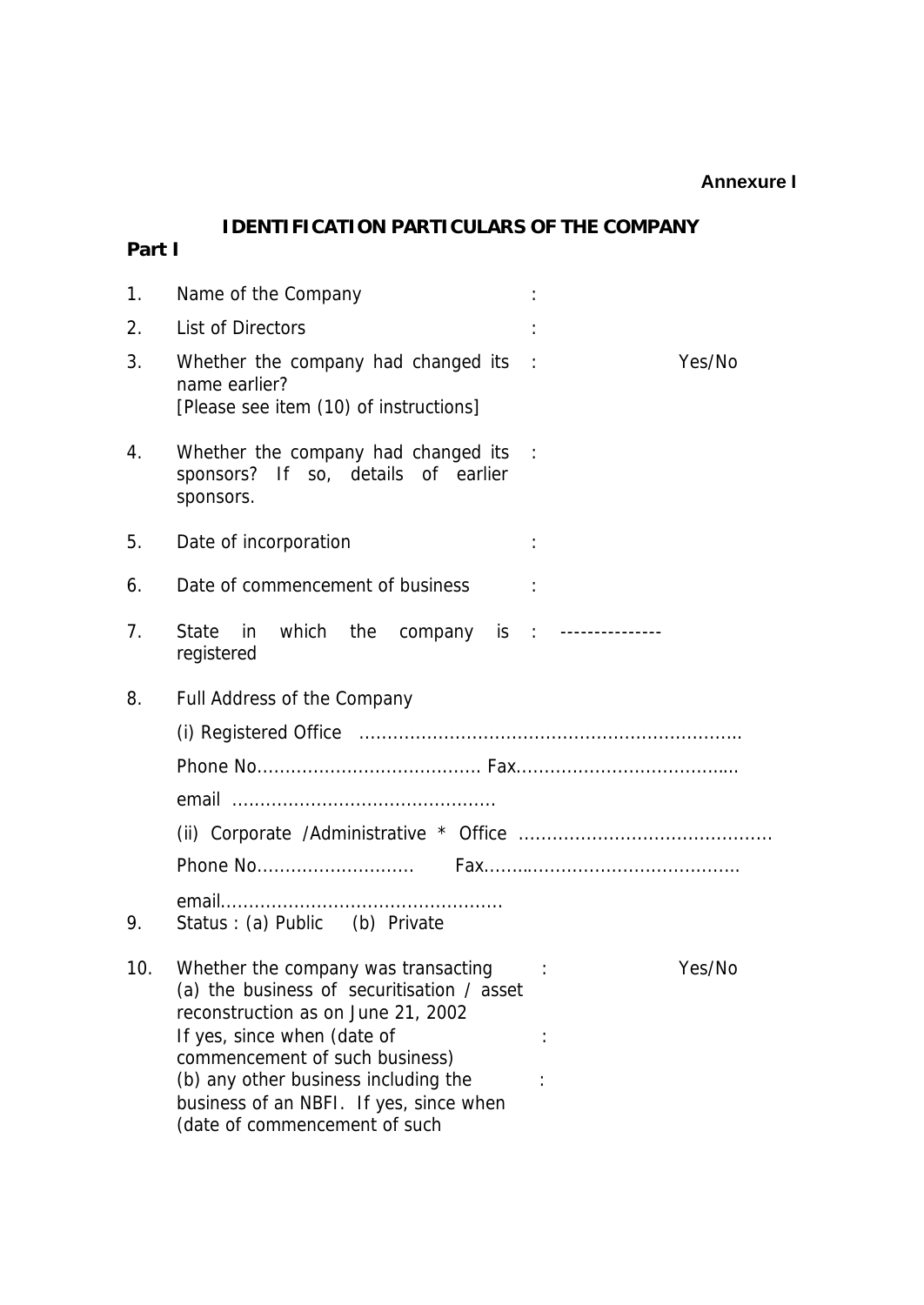#### **Annexure I**

# **IDENTIFICATION PARTICULARS OF THE COMPANY**

**Part I**

| 1.  | Name of the Company                                                                                                                                                                                                                                                                                                    |
|-----|------------------------------------------------------------------------------------------------------------------------------------------------------------------------------------------------------------------------------------------------------------------------------------------------------------------------|
| 2.  | List of Directors                                                                                                                                                                                                                                                                                                      |
| 3.  | Whether the company had changed its<br>Yes/No<br>$\sim$ 1<br>name earlier?<br>[Please see item (10) of instructions]                                                                                                                                                                                                   |
| 4.  | Whether the company had changed its<br>$\sim$ 1<br>sponsors? If so, details of earlier<br>sponsors.                                                                                                                                                                                                                    |
| 5.  | Date of incorporation                                                                                                                                                                                                                                                                                                  |
| 6.  | Date of commencement of business                                                                                                                                                                                                                                                                                       |
| 7.  | in which the company is : --------------<br>State<br>registered                                                                                                                                                                                                                                                        |
| 8.  | Full Address of the Company                                                                                                                                                                                                                                                                                            |
|     |                                                                                                                                                                                                                                                                                                                        |
|     |                                                                                                                                                                                                                                                                                                                        |
|     |                                                                                                                                                                                                                                                                                                                        |
|     |                                                                                                                                                                                                                                                                                                                        |
|     |                                                                                                                                                                                                                                                                                                                        |
| 9.  | Status: (a) Public (b) Private                                                                                                                                                                                                                                                                                         |
| 10. | Whether the company was transacting<br>Yes/No<br>(a) the business of securitisation / asset<br>reconstruction as on June 21, 2002<br>If yes, since when (date of<br>commencement of such business)<br>(b) any other business including the<br>business of an NBFI. If yes, since when<br>(date of commencement of such |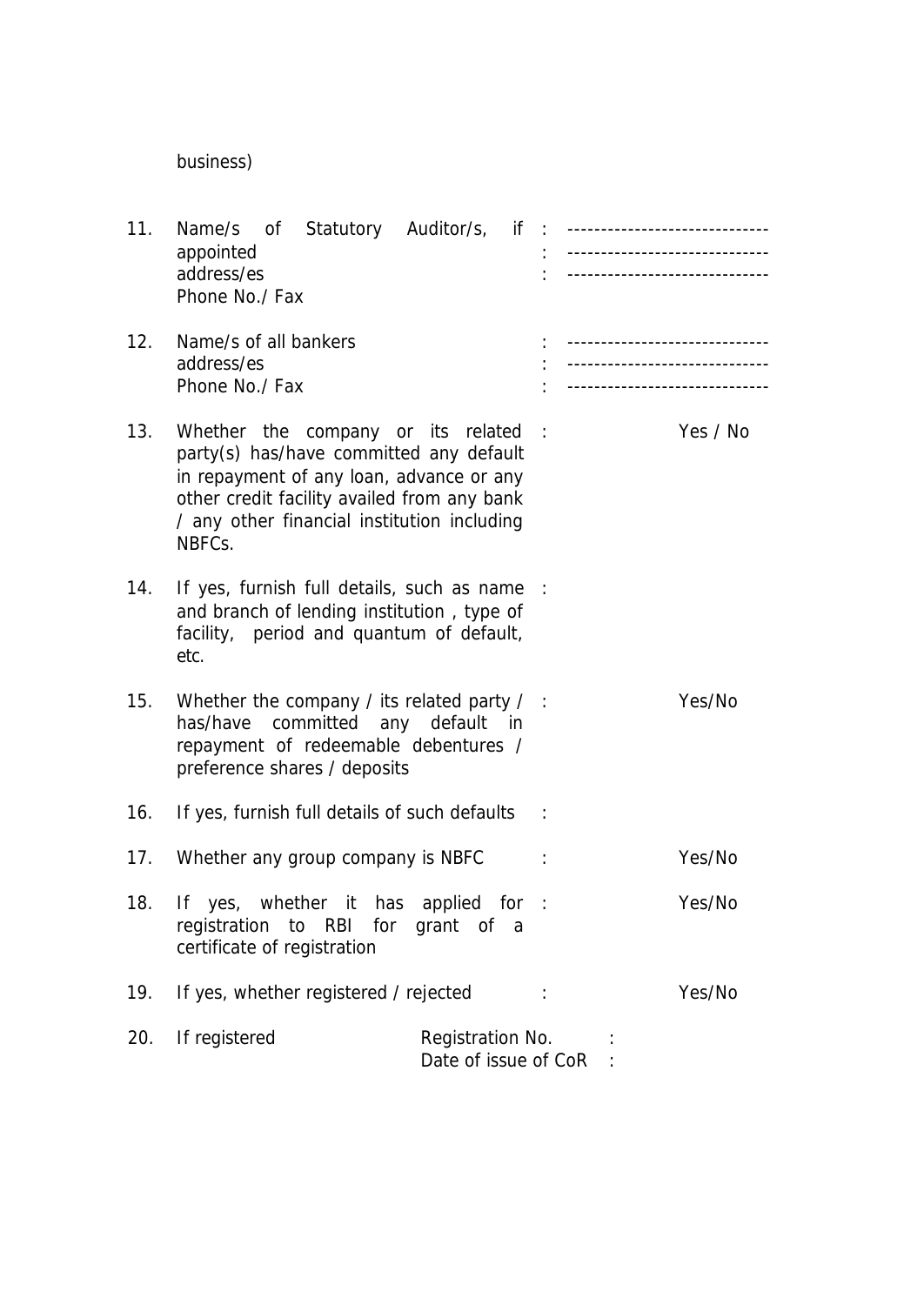business)

| 11. | Name/s of Statutory Auditor/s, if : -----------------------------<br>appointed<br>address/es<br>Phone No./ Fax                                                                                                                    |                                          | ------------------------------<br>-------------------------------                                    |          |
|-----|-----------------------------------------------------------------------------------------------------------------------------------------------------------------------------------------------------------------------------------|------------------------------------------|------------------------------------------------------------------------------------------------------|----------|
| 12. | Name/s of all bankers<br>address/es<br>Phone No./ Fax                                                                                                                                                                             |                                          | -------------------------------<br>------------------------------<br>------------------------------- |          |
| 13. | Whether the company or its related<br>party(s) has/have committed any default<br>in repayment of any loan, advance or any<br>other credit facility availed from any bank<br>/ any other financial institution including<br>NBFCs. |                                          | $\mathbb{R}$                                                                                         | Yes / No |
| 14. | If yes, furnish full details, such as name<br>and branch of lending institution, type of<br>facility, period and quantum of default,<br>etc.                                                                                      |                                          | $\mathbb{R}^2$                                                                                       |          |
| 15. | Whether the company / its related party $/$ :<br>has/have committed any default in<br>repayment of redeemable debentures /<br>preference shares / deposits                                                                        |                                          |                                                                                                      | Yes/No   |
| 16. | If yes, furnish full details of such defaults                                                                                                                                                                                     |                                          |                                                                                                      |          |
| 17. | Whether any group company is NBFC                                                                                                                                                                                                 |                                          |                                                                                                      | Yes/No   |
| 18. | If yes, whether it has<br>registration to RBI for grant of a<br>certificate of registration                                                                                                                                       | applied for                              |                                                                                                      | Yes/No   |
| 19. | If yes, whether registered / rejected                                                                                                                                                                                             |                                          |                                                                                                      | Yes/No   |
| 20. | If registered                                                                                                                                                                                                                     | Registration No.<br>Date of issue of CoR |                                                                                                      |          |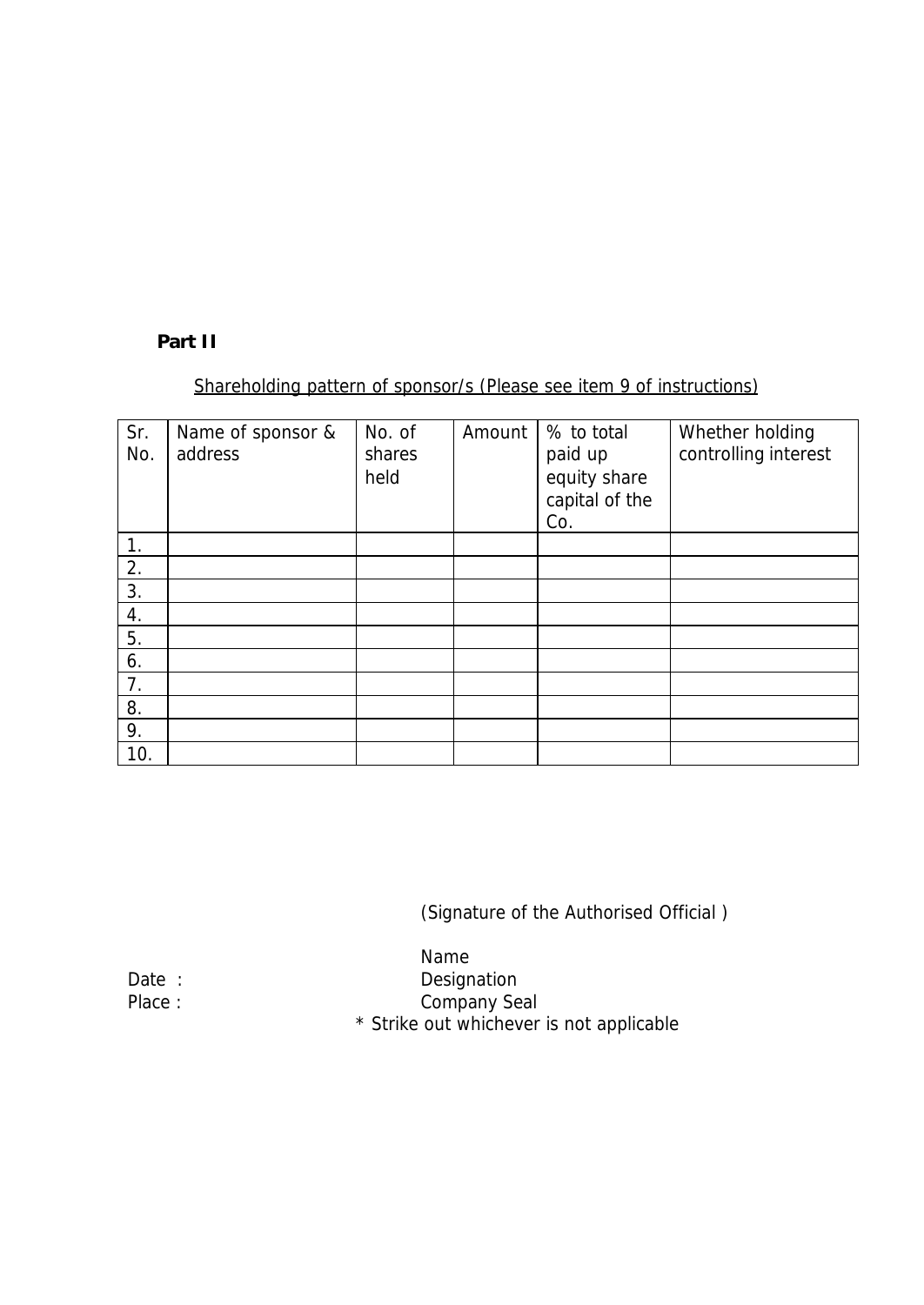#### **Part II**

## Shareholding pattern of sponsor/s (Please see item 9 of instructions)

| Sr.<br>No. | Name of sponsor &<br>address | No. of<br>shares<br>held | Amount | % to total<br>paid up<br>equity share<br>capital of the<br>Co. | Whether holding<br>controlling interest |
|------------|------------------------------|--------------------------|--------|----------------------------------------------------------------|-----------------------------------------|
|            |                              |                          |        |                                                                |                                         |
| 2.         |                              |                          |        |                                                                |                                         |
| 3.         |                              |                          |        |                                                                |                                         |
| 4.         |                              |                          |        |                                                                |                                         |
| 5.         |                              |                          |        |                                                                |                                         |
| 6.         |                              |                          |        |                                                                |                                         |
| 7.         |                              |                          |        |                                                                |                                         |
| 8.         |                              |                          |        |                                                                |                                         |
| 9.         |                              |                          |        |                                                                |                                         |
| 10.        |                              |                          |        |                                                                |                                         |

(Signature of the Authorised Official )

Name Date : Designation Place : Company Seal

\* Strike out whichever is not applicable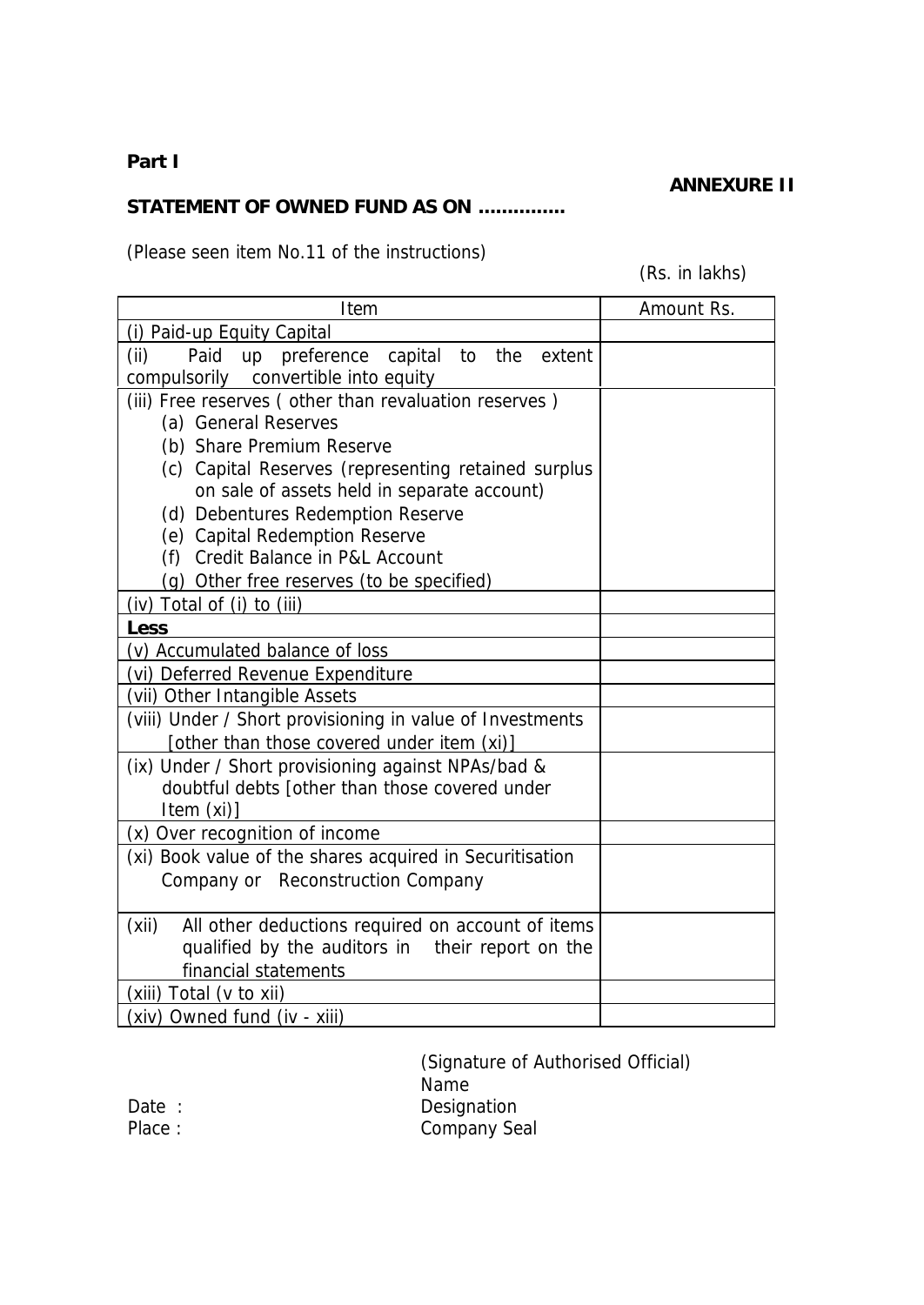## **Part I**

#### **ANNEXURE II**

## **STATEMENT OF OWNED FUND AS ON ...............**

(Please seen item No.11 of the instructions)

(Rs. in lakhs)

| Item                                                                                                 | Amount Rs. |
|------------------------------------------------------------------------------------------------------|------------|
| (i) Paid-up Equity Capital                                                                           |            |
| (ii)<br>Paid<br>up preference<br>capital to<br>the<br>extent<br>compulsorily convertible into equity |            |
| (iii) Free reserves (other than revaluation reserves)                                                |            |
| (a) General Reserves                                                                                 |            |
| (b) Share Premium Reserve                                                                            |            |
| (c) Capital Reserves (representing retained surplus                                                  |            |
| on sale of assets held in separate account)                                                          |            |
| (d) Debentures Redemption Reserve                                                                    |            |
| (e) Capital Redemption Reserve                                                                       |            |
| (f) Credit Balance in P&L Account                                                                    |            |
| (g) Other free reserves (to be specified)                                                            |            |
| (iv) Total of (i) to (iii)                                                                           |            |
| Less                                                                                                 |            |
| (v) Accumulated balance of loss                                                                      |            |
| (vi) Deferred Revenue Expenditure                                                                    |            |
| (vii) Other Intangible Assets                                                                        |            |
| (viii) Under / Short provisioning in value of Investments                                            |            |
| [other than those covered under item (xi)]                                                           |            |
| (ix) Under / Short provisioning against NPAs/bad &                                                   |            |
| doubtful debts [other than those covered under<br>Item $(xi)$ ]                                      |            |
| (x) Over recognition of income                                                                       |            |
| (xi) Book value of the shares acquired in Securitisation                                             |            |
| Company or Reconstruction Company                                                                    |            |
|                                                                                                      |            |
| (xii)<br>All other deductions required on account of items                                           |            |
| qualified by the auditors in their report on the                                                     |            |
| financial statements                                                                                 |            |
| (xiii) Total (v to xii)                                                                              |            |
| (xiv) Owned fund (iv - xiii)                                                                         |            |

(Signature of Authorised Official) Name Date : Designation Place : Company Seal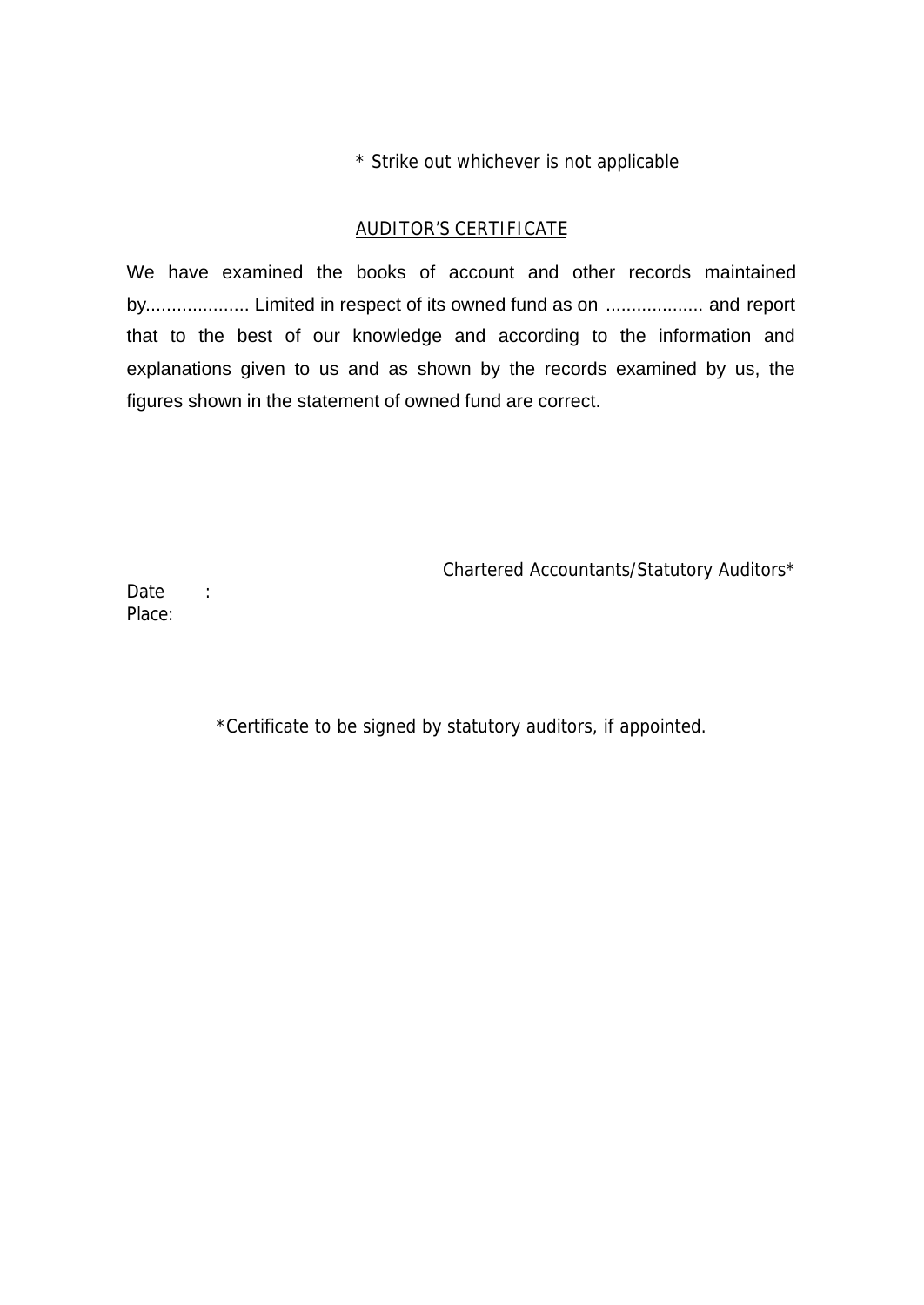\* Strike out whichever is not applicable

## AUDITOR'S CERTIFICATE

We have examined the books of account and other records maintained by.................... Limited in respect of its owned fund as on ................... and report that to the best of our knowledge and according to the information and explanations given to us and as shown by the records examined by us, the figures shown in the statement of owned fund are correct.

Chartered Accountants/Statutory Auditors\*

Date : Place:

\*Certificate to be signed by statutory auditors, if appointed.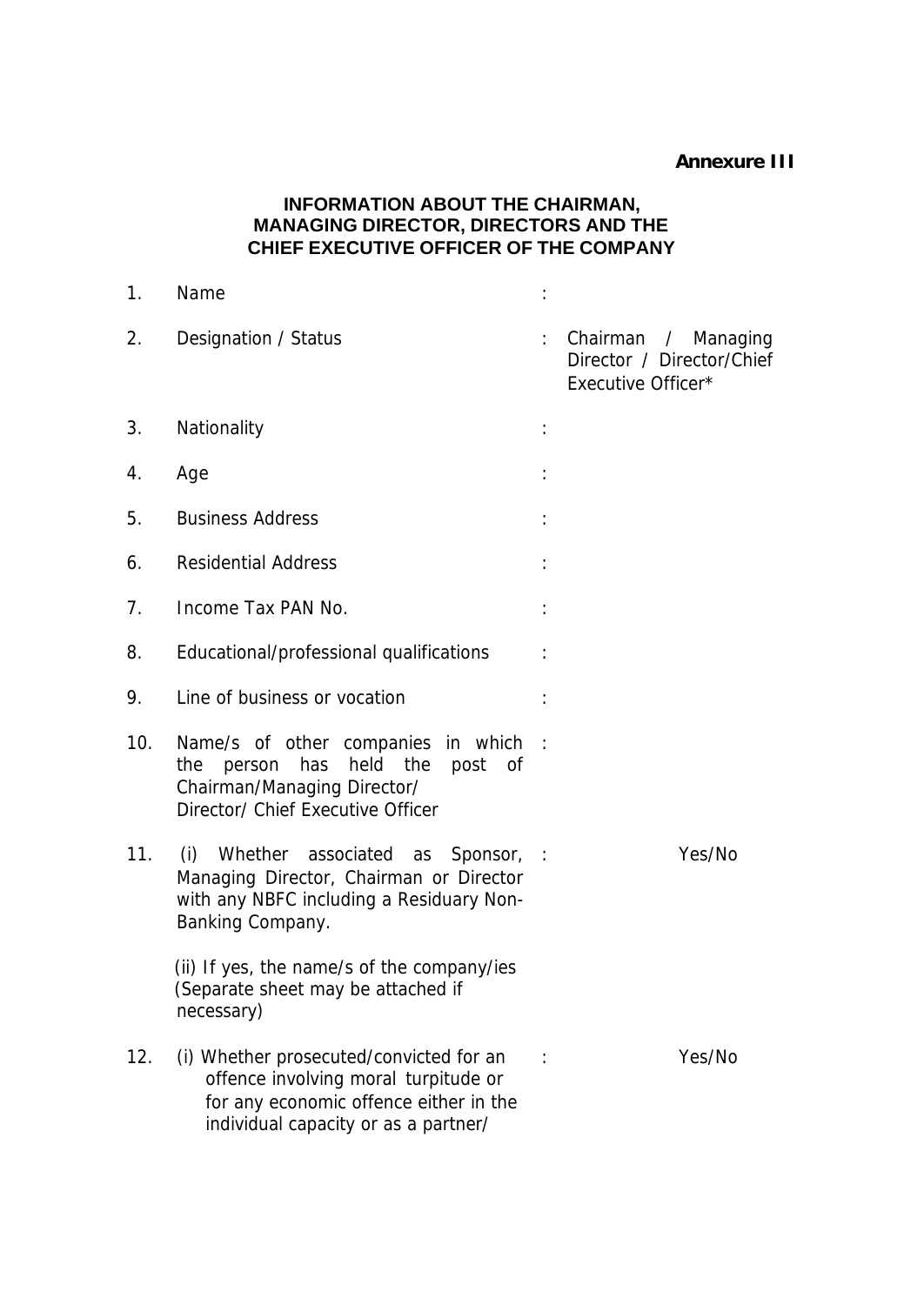#### **Annexure III**

## **INFORMATION ABOUT THE CHAIRMAN, MANAGING DIRECTOR, DIRECTORS AND THE CHIEF EXECUTIVE OFFICER OF THE COMPANY**

| 1.  | Name                                                                                                                                                              |                             |                                                                        |
|-----|-------------------------------------------------------------------------------------------------------------------------------------------------------------------|-----------------------------|------------------------------------------------------------------------|
| 2.  | Designation / Status                                                                                                                                              | $\mathbb{Z}^{\mathbb{Z}}$ . | Chairman / Managing<br>Director / Director/Chief<br>Executive Officer* |
| 3.  | Nationality                                                                                                                                                       |                             |                                                                        |
| 4.  | Age                                                                                                                                                               |                             |                                                                        |
| 5.  | <b>Business Address</b>                                                                                                                                           |                             |                                                                        |
| 6.  | <b>Residential Address</b>                                                                                                                                        |                             |                                                                        |
| 7.  | Income Tax PAN No.                                                                                                                                                |                             |                                                                        |
| 8.  | Educational/professional qualifications                                                                                                                           |                             |                                                                        |
| 9.  | Line of business or vocation                                                                                                                                      |                             |                                                                        |
| 10. | Name/s of other companies in which :<br>person has held the<br>the<br>post of<br>Chairman/Managing Director/<br>Director/ Chief Executive Officer                 |                             |                                                                        |
| 11. | (i)<br>Whether associated as<br>Sponsor, :<br>Managing Director, Chairman or Director<br>with any NBFC including a Residuary Non-<br>Banking Company.             |                             | Yes/No                                                                 |
|     | (ii) If yes, the name/s of the company/ies<br>(Separate sheet may be attached if<br>necessary)                                                                    |                             |                                                                        |
| 12. | (i) Whether prosecuted/convicted for an<br>offence involving moral turpitude or<br>for any economic offence either in the<br>individual capacity or as a partner/ |                             | Yes/No                                                                 |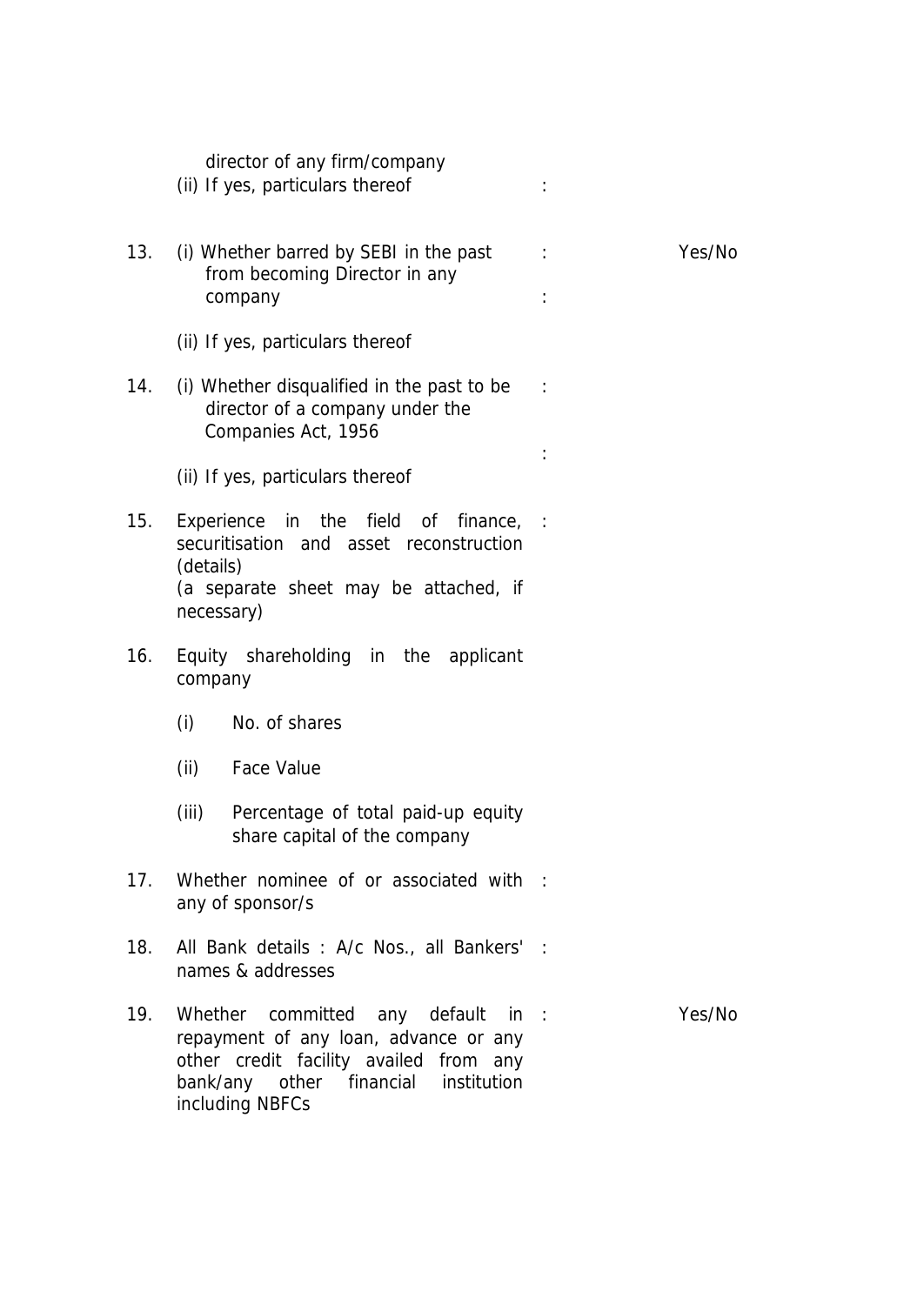|     | director of any firm/company<br>(ii) If yes, particulars thereof                                                                                                                          |        |
|-----|-------------------------------------------------------------------------------------------------------------------------------------------------------------------------------------------|--------|
| 13. | (i) Whether barred by SEBI in the past<br>from becoming Director in any<br>company                                                                                                        | Yes/No |
|     | (ii) If yes, particulars thereof                                                                                                                                                          |        |
| 14. | (i) Whether disqualified in the past to be<br>director of a company under the<br>Companies Act, 1956                                                                                      |        |
|     | (ii) If yes, particulars thereof                                                                                                                                                          |        |
| 15. | the field<br>Experience<br>in<br>of<br>finance, :<br>securitisation and asset reconstruction<br>(details)<br>(a separate sheet may be attached, if                                        |        |
|     | necessary)                                                                                                                                                                                |        |
| 16. | Equity shareholding in the applicant<br>company                                                                                                                                           |        |
|     | (i)<br>No. of shares                                                                                                                                                                      |        |
|     | <b>Face Value</b><br>(ii)                                                                                                                                                                 |        |
|     | (iii)<br>Percentage of total paid-up equity<br>share capital of the company                                                                                                               |        |
| 17. | Whether nominee of or associated with :<br>any of sponsor/s                                                                                                                               |        |
| 18. | All Bank details : A/c Nos., all Bankers' :<br>names & addresses                                                                                                                          |        |
| 19. | Whether<br>committed any default<br>in :<br>repayment of any loan, advance or any<br>other credit facility availed from any<br>bank/any<br>other financial institution<br>including NBFCs | Yes/No |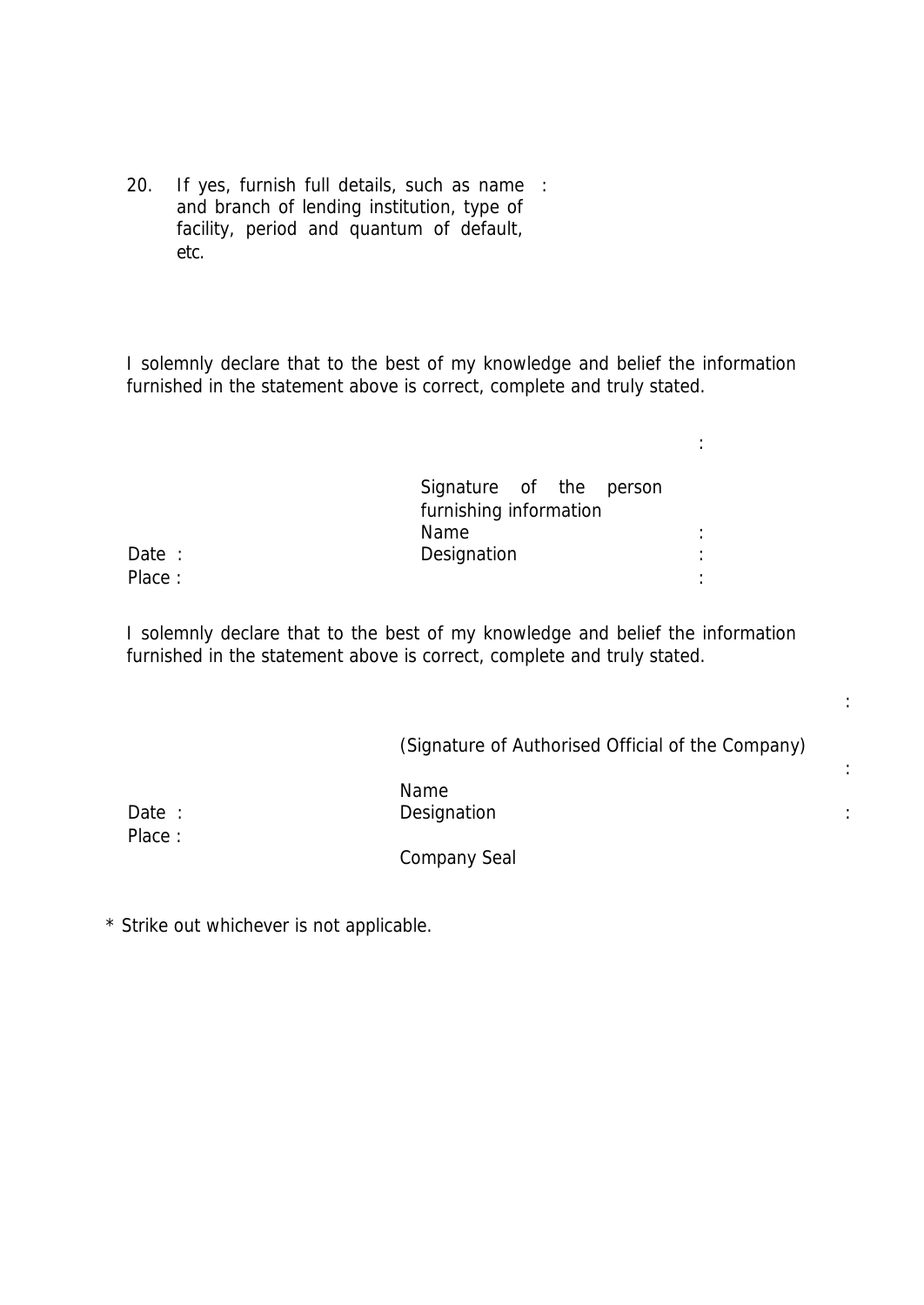20. If yes, furnish full details, such as name : and branch of lending institution, type of facility, period and quantum of default, etc.

I solemnly declare that to the best of my knowledge and belief the information furnished in the statement above is correct, complete and truly stated.

|        | Signature of the person<br>furnishing information |        |
|--------|---------------------------------------------------|--------|
|        | Name                                              | ٠      |
| Date : | Designation                                       | ٠      |
| Place: |                                                   | ٠<br>٠ |

I solemnly declare that to the best of my knowledge and belief the information furnished in the statement above is correct, complete and truly stated.

(Signature of Authorised Official of the Company)

:

:

:

Name Date : Designation in the Designation of the Contract of the Contract of the Contract of the Contract of the Contract of the Contract of the Contract of the Contract of the Contract of the Contract of the Contract of the C

Place :

Company Seal

\* Strike out whichever is not applicable.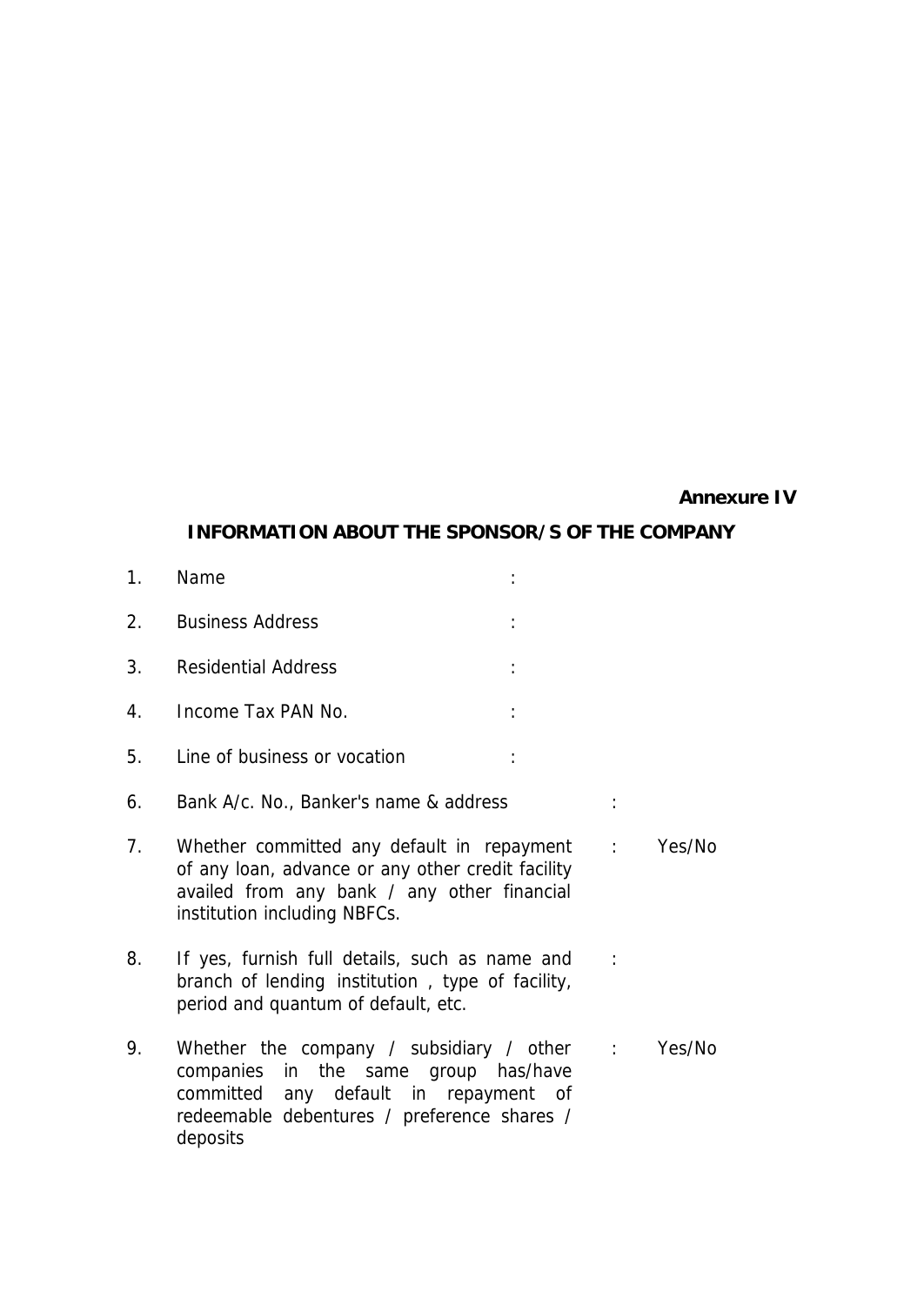#### **Annexure IV**

#### **INFORMATION ABOUT THE SPONSOR/S OF THE COMPANY**

2. Business Address :

1. Name :

- 3. Residential Address :
- 4. Income Tax PAN No. :
- 5. Line of business or vocation :
- 6. Bank A/c. No., Banker's name & address :
- 7. Whether committed any default in repayment : Yes/No of any loan, advance or any other credit facility availed from any bank / any other financial institution including NBFCs.
- 8. If yes, furnish full details, such as name and branch of lending institution , type of facility, period and quantum of default, etc.  $\mathbb{R}^2$
- 9. Whether the company / subsidiary / other companies in the same group has/have committed any default in repayment of redeemable debentures / preference shares / deposits : Yes/No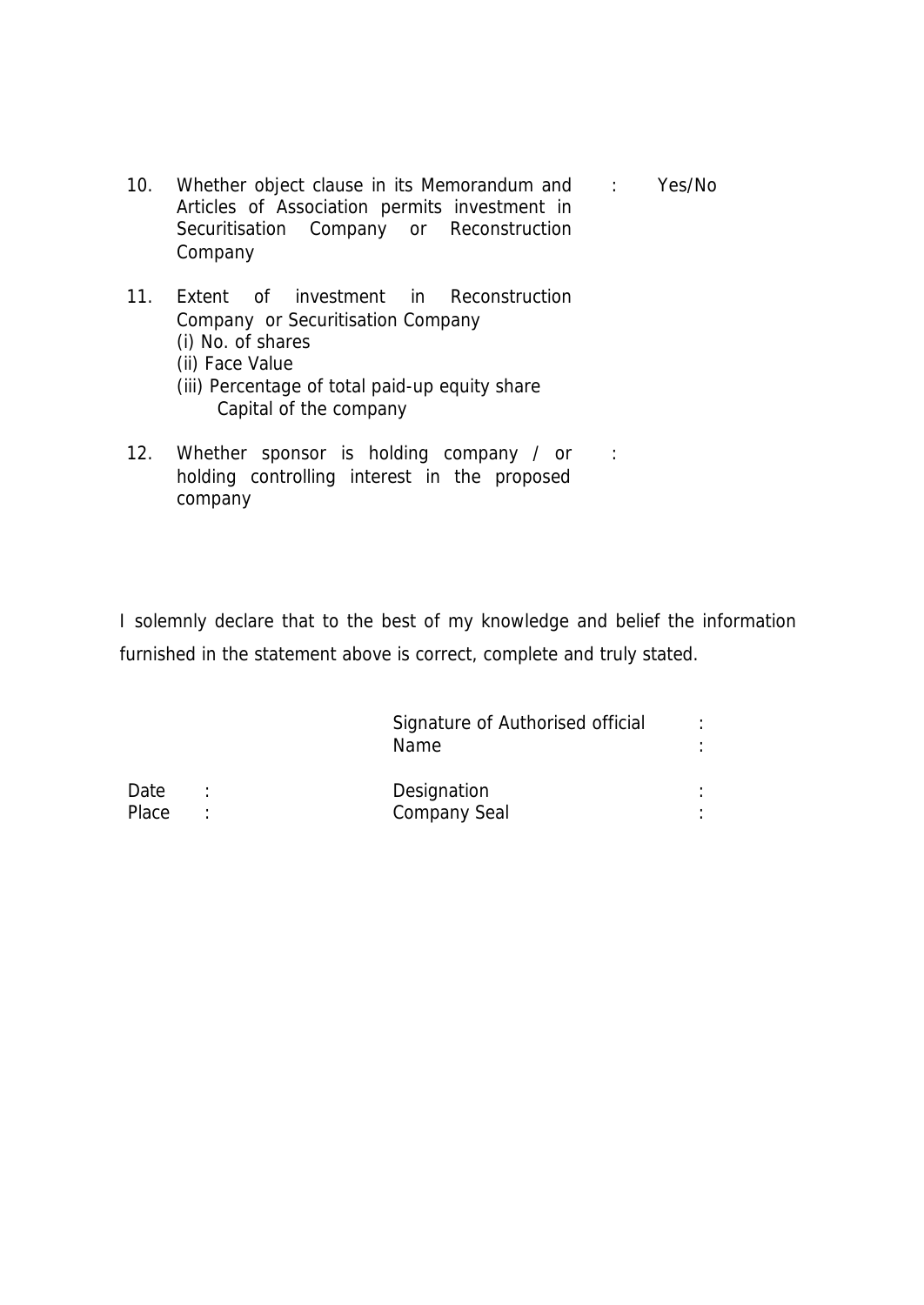- 10. Whether object clause in its Memorandum and : Yes/No Articles of Association permits investment in Securitisation Company or Reconstruction Company
- 11. Extent of investment in Reconstruction Company or Securitisation Company (i) No. of shares (ii) Face Value
	- (iii) Percentage of total paid-up equity share Capital of the company
- 12. Whether sponsor is holding company / or : holding controlling interest in the proposed company

I solemnly declare that to the best of my knowledge and belief the information furnished in the statement above is correct, complete and truly stated.

|       | Signature of Authorised official<br>Name. |  |
|-------|-------------------------------------------|--|
| Date  | Designation                               |  |
| Place | <b>Company Seal</b>                       |  |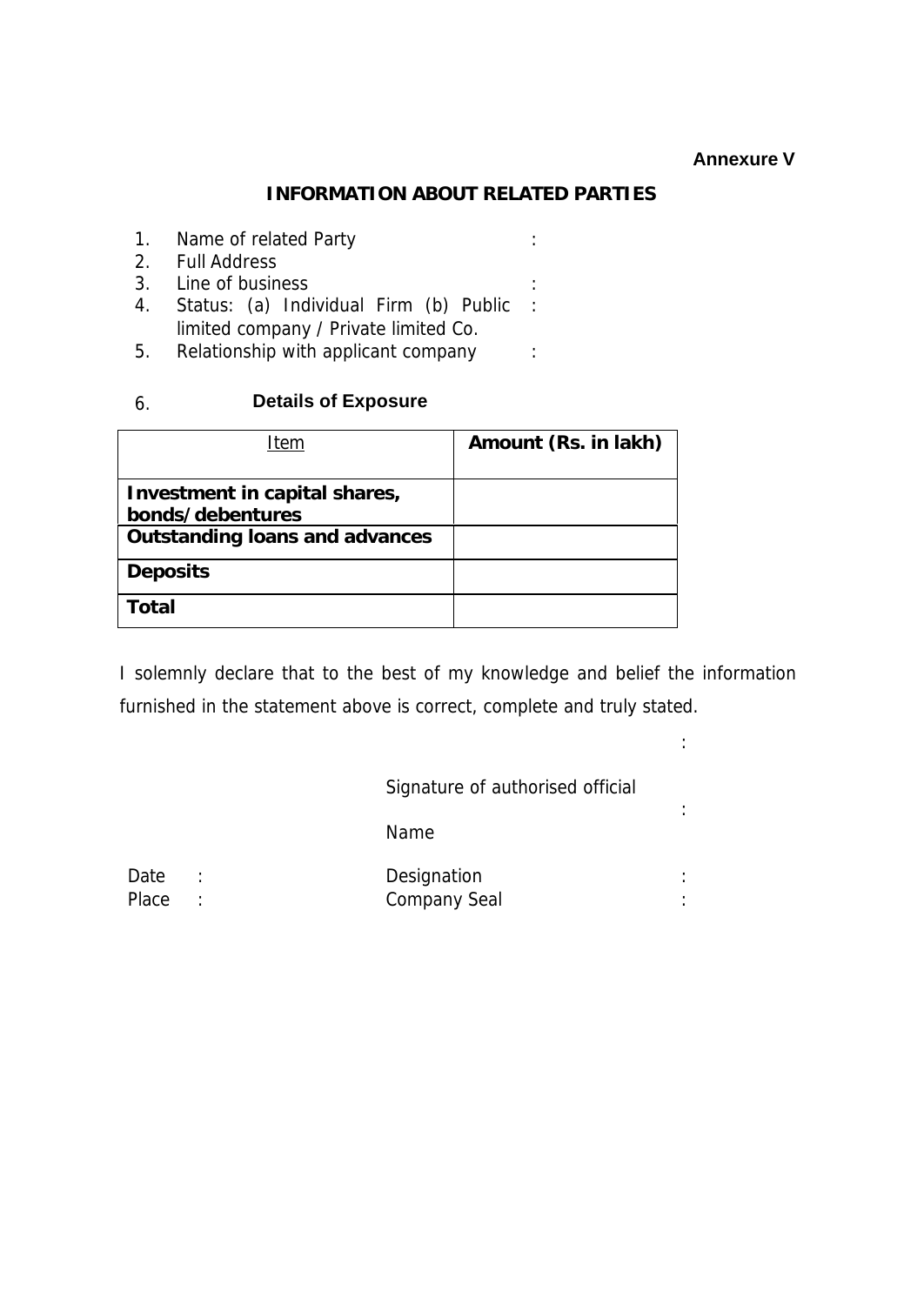## **Annexure V**

:

#### **INFORMATION ABOUT RELATED PARTIES**

- 1. Name of related Party in the same of related Party 2. Full Address 3. Line of business : 4. Status: (a) Individual Firm (b) Public : limited company / Private limited Co.
- 5. Relationship with applicant company :

## 6. **Details of Exposure**

| Item                                              | Amount (Rs. in lakh) |
|---------------------------------------------------|----------------------|
| Investment in capital shares,<br>bonds/debentures |                      |
| <b>Outstanding loans and advances</b>             |                      |
| <b>Deposits</b>                                   |                      |
| Total                                             |                      |

I solemnly declare that to the best of my knowledge and belief the information furnished in the statement above is correct, complete and truly stated.

| Signature of authorised official |   |
|----------------------------------|---|
| Name                             |   |
| Designation<br>Company Seal      | ٠ |

Date : Place :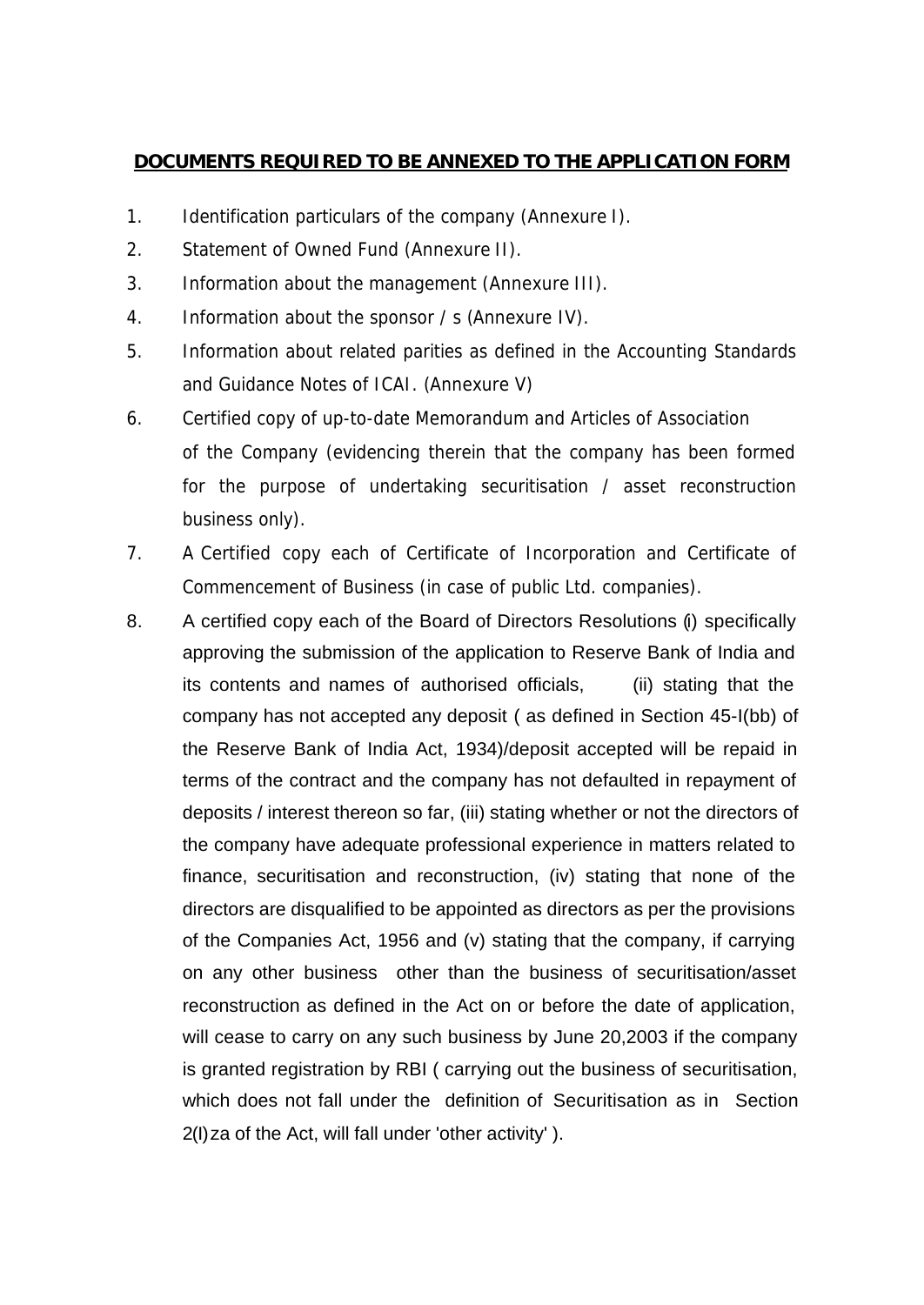## **DOCUMENTS REQUIRED TO BE ANNEXED TO THE APPLICATION FORM**

- 1. Identification particulars of the company (Annexure I).
- 2. Statement of Owned Fund (Annexure II).
- 3. Information about the management (Annexure III).
- 4. Information about the sponsor / s (Annexure IV).
- 5. Information about related parities as defined in the Accounting Standards and Guidance Notes of ICAI. (Annexure V)
- 6. Certified copy of up-to-date Memorandum and Articles of Association of the Company (evidencing therein that the company has been formed for the purpose of undertaking securitisation / asset reconstruction business only).
- 7. A Certified copy each of Certificate of Incorporation and Certificate of Commencement of Business (in case of public Ltd. companies).
- 8. A certified copy each of the Board of Directors Resolutions (i) specifically approving the submission of the application to Reserve Bank of India and its contents and names of authorised officials, (ii) stating that the company has not accepted any deposit ( as defined in Section 45-I(bb) of the Reserve Bank of India Act, 1934)/deposit accepted will be repaid in terms of the contract and the company has not defaulted in repayment of deposits / interest thereon so far, (iii) stating whether or not the directors of the company have adequate professional experience in matters related to finance, securitisation and reconstruction, (iv) stating that none of the directors are disqualified to be appointed as directors as per the provisions of the Companies Act, 1956 and (v) stating that the company, if carrying on any other business other than the business of securitisation/asset reconstruction as defined in the Act on or before the date of application, will cease to carry on any such business by June 20,2003 if the company is granted registration by RBI ( carrying out the business of securitisation, which does not fall under the definition of Securitisation as in Section 2(I)za of the Act, will fall under 'other activity' ).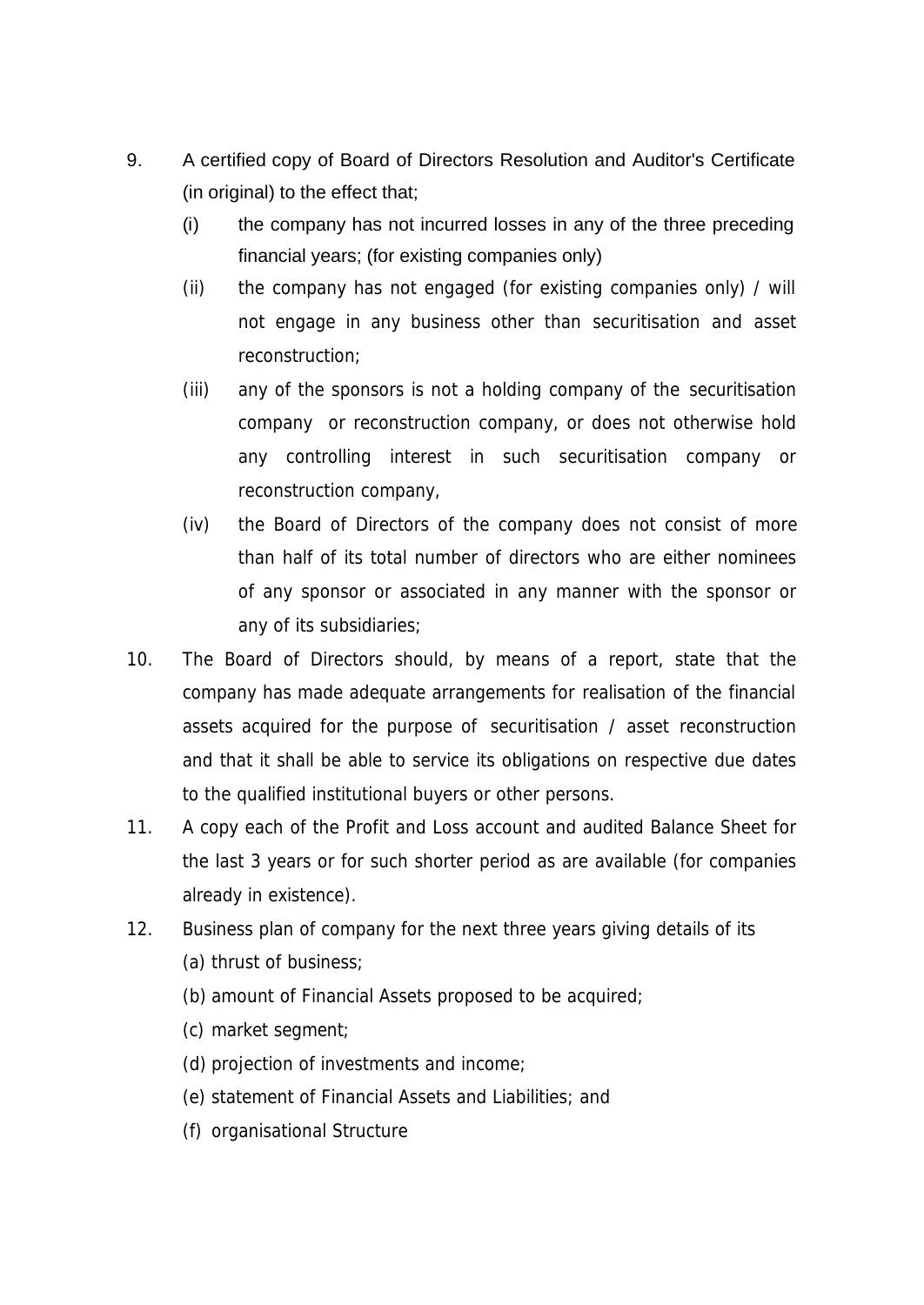- 9. A certified copy of Board of Directors Resolution and Auditor's Certificate (in original) to the effect that;
	- (i) the company has not incurred losses in any of the three preceding financial years; (for existing companies only)
	- (ii) the company has not engaged (for existing companies only) / will not engage in any business other than securitisation and asset reconstruction;
	- (iii) any of the sponsors is not a holding company of the securitisation company or reconstruction company, or does not otherwise hold any controlling interest in such securitisation company or reconstruction company,
	- (iv) the Board of Directors of the company does not consist of more than half of its total number of directors who are either nominees of any sponsor or associated in any manner with the sponsor or any of its subsidiaries;
- 10. The Board of Directors should, by means of a report, state that the company has made adequate arrangements for realisation of the financial assets acquired for the purpose of securitisation / asset reconstruction and that it shall be able to service its obligations on respective due dates to the qualified institutional buyers or other persons.
- 11. A copy each of the Profit and Loss account and audited Balance Sheet for the last 3 years or for such shorter period as are available (for companies already in existence).
- 12. Business plan of company for the next three years giving details of its (a) thrust of business;
	- (b) amount of Financial Assets proposed to be acquired;
	- (c) market segment;
	- (d) projection of investments and income;
	- (e) statement of Financial Assets and Liabilities; and
	- (f) organisational Structure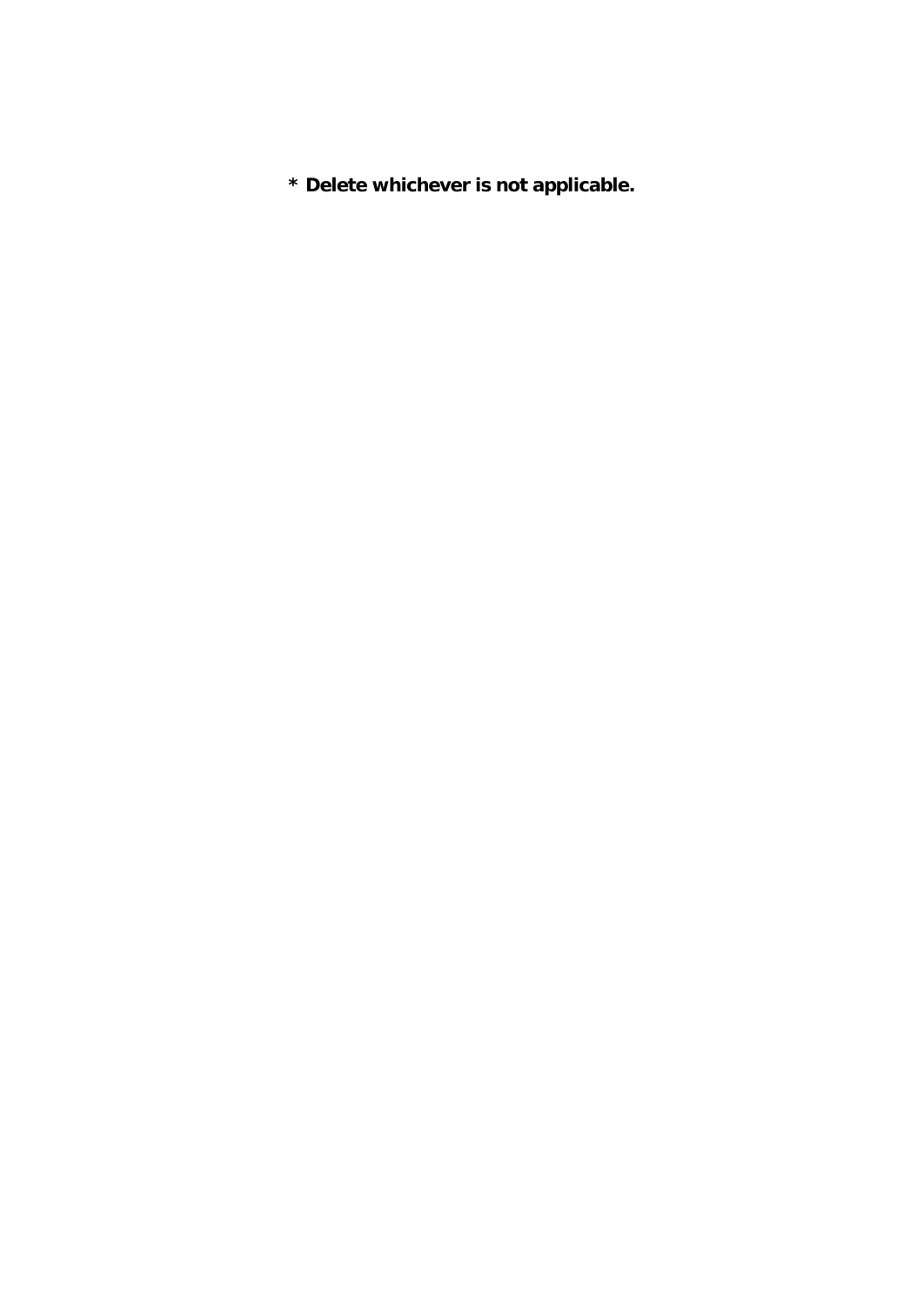**\* Delete whichever is not applicable.**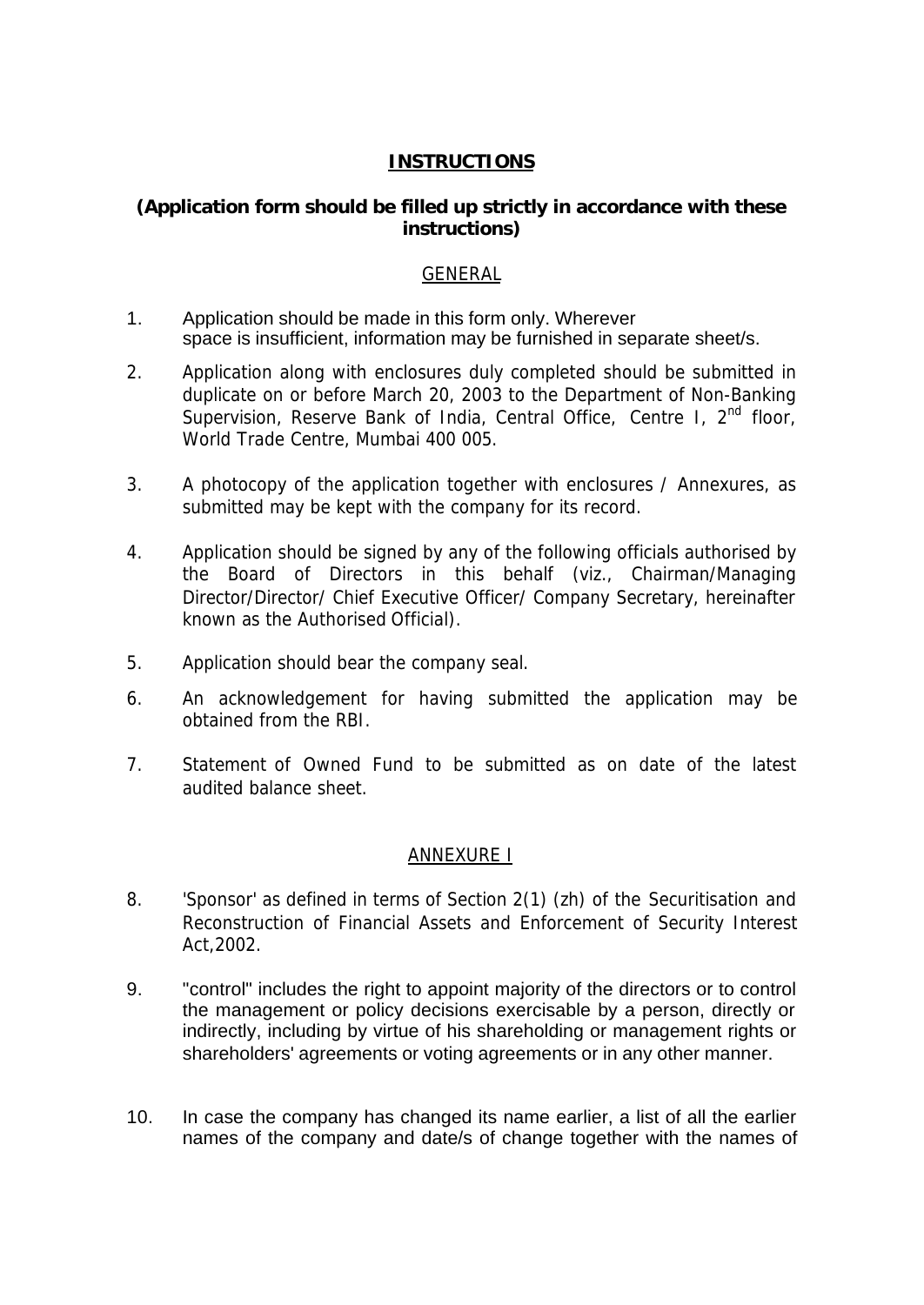## **INSTRUCTIONS**

## **(Application form should be filled up strictly in accordance with these instructions)**

#### GENERAL

- 1. Application should be made in this form only. Wherever space is insufficient, information may be furnished in separate sheet/s.
- 2. Application along with enclosures duly completed should be submitted in duplicate on or before March 20, 2003 to the Department of Non-Banking Supervision, Reserve Bank of India, Central Office, Centre I, 2<sup>nd</sup> floor, World Trade Centre, Mumbai 400 005.
- 3. A photocopy of the application together with enclosures / Annexures, as submitted may be kept with the company for its record.
- 4. Application should be signed by any of the following officials authorised by the Board of Directors in this behalf (viz., Chairman/Managing Director/Director/ Chief Executive Officer/ Company Secretary, hereinafter known as the Authorised Official).
- 5. Application should bear the company seal.
- 6. An acknowledgement for having submitted the application may be obtained from the RBI.
- 7. Statement of Owned Fund to be submitted as on date of the latest audited balance sheet.

#### ANNEXURE I

- 8. 'Sponsor' as defined in terms of Section 2(1) (zh) of the Securitisation and Reconstruction of Financial Assets and Enforcement of Security Interest Act,2002.
- 9. "control" includes the right to appoint majority of the directors or to control the management or policy decisions exercisable by a person, directly or indirectly, including by virtue of his shareholding or management rights or shareholders' agreements or voting agreements or in any other manner.
- 10. In case the company has changed its name earlier, a list of all the earlier names of the company and date/s of change together with the names of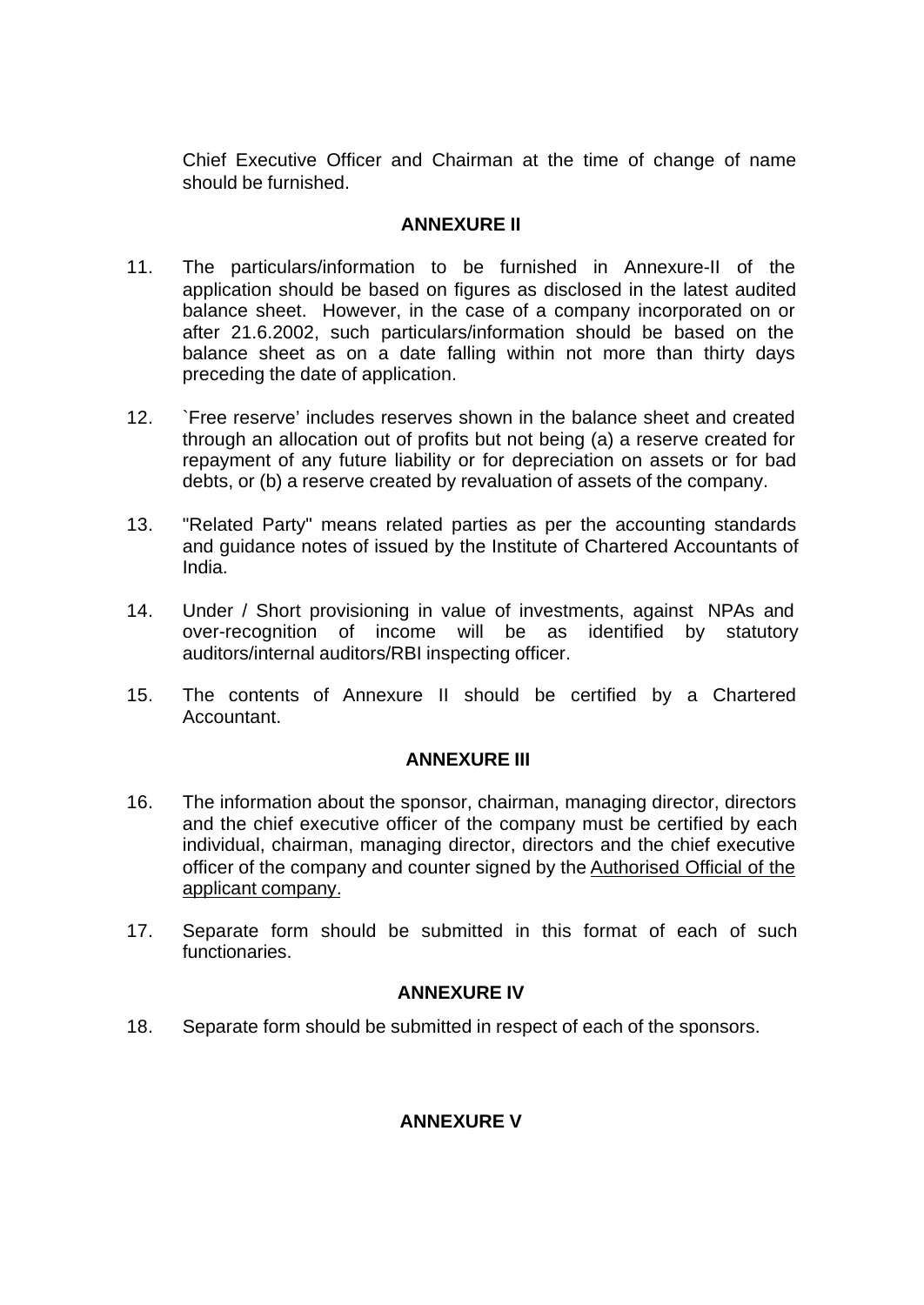Chief Executive Officer and Chairman at the time of change of name should be furnished.

## **ANNEXURE II**

- 11. The particulars/information to be furnished in Annexure-II of the application should be based on figures as disclosed in the latest audited balance sheet. However, in the case of a company incorporated on or after 21.6.2002, such particulars/information should be based on the balance sheet as on a date falling within not more than thirty days preceding the date of application.
- 12. `Free reserve' includes reserves shown in the balance sheet and created through an allocation out of profits but not being (a) a reserve created for repayment of any future liability or for depreciation on assets or for bad debts, or (b) a reserve created by revaluation of assets of the company.
- 13. "Related Party" means related parties as per the accounting standards and guidance notes of issued by the Institute of Chartered Accountants of India.
- 14. Under / Short provisioning in value of investments, against NPAs and over-recognition of income will be as identified by statutory auditors/internal auditors/RBI inspecting officer.
- 15. The contents of Annexure II should be certified by a Chartered Accountant.

## **ANNEXURE III**

- 16. The information about the sponsor, chairman, managing director, directors and the chief executive officer of the company must be certified by each individual, chairman, managing director, directors and the chief executive officer of the company and counter signed by the Authorised Official of the applicant company.
- 17. Separate form should be submitted in this format of each of such functionaries.

## **ANNEXURE IV**

18. Separate form should be submitted in respect of each of the sponsors.

## **ANNEXURE V**